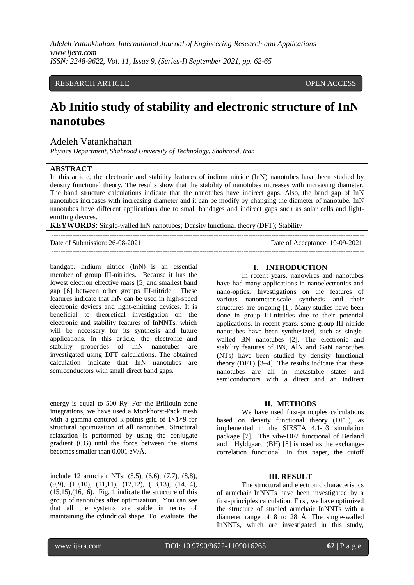*Adeleh Vatankhahan. International Journal of Engineering Research and Applications www.ijera.com ISSN: 2248-9622, Vol. 11, Issue 9, (Series-I) September 2021, pp. 62-65*

### RESEARCH ARTICLE **OPEN ACCESS**

# **Ab Initio study of stability and electronic structure of InN nanotubes**

## Adeleh Vatankhahan

*Physics Department, Shahrood University of Technology, Shahrood, Iran*

#### **ABSTRACT**

In this article, the electronic and stability features of indium nitride (InN) nanotubes have been studied by density functional theory. The results show that the stability of nanotubes increases with increasing diameter. The band structure calculations indicate that the nanotubes have indirect gaps. Also, the band gap of InN nanotubes increases with increasing diameter and it can be modify by changing the diameter of nanotube. InN nanotubes have different applications due to small bandages and indirect gaps such as solar cells and lightemitting devices.

**KEYWORDS**: Single-walled InN nanotubes; Density functional theory (DFT); Stability

| Date of Submission: 26-08-2021 | Date of Acceptance: 10-09-2021 |
|--------------------------------|--------------------------------|
|                                |                                |

bandgap. Indium nitride (InN) is an essential member of group III-nitrides. Because it has the lowest electron effective mass [5] and smallest band gap [6] between other groups III-nitride. These features indicate that InN can be used in high-speed electronic devices and light-emitting devices**.** It is beneficial to theoretical investigation on the electronic and stability features of InNNTs, which will be necessary for its synthesis and future applications. In this article, the electronic and stability properties of InN nanotubes are investigated using DFT calculations. The obtained calculation indicate that InN nanotubes are semiconductors with small direct band gaps.

energy is equal to 500 Ry. For the Brillouin zone integrations, we have used a Monkhorst-Pack mesh with a gamma centered k-points grid of  $1\times1\times9$  for structural optimization of all nanotubes. Structural relaxation is performed by using the conjugate gradient (CG) until the force between the atoms becomes smaller than 0.001 eV/Å.

include 12 armchair NTs: (5,5), (6,6), (7,7), (8,8), (9,9), (10,10), (11,11), (12,12), (13,13), (14,14),  $(15,15)$ , $(16,16)$ . Fig. 1 indicate the structure of this group of nanotubes after optimization. You can see that all the systems are stable in terms of maintaining the cylindrical shape. To evaluate the

#### **I. INTRODUCTION**

In recent years, nanowires and nanotubes have had many applications in nanoelectronics and nano-optics. Investigations on the features of various nanometer-scale synthesis and their structures are ongoing [1]. Many studies have been done in group III-nitrides due to their potential applications. In recent years, some group III-nitride nanotubes have been synthesized, such as singlewalled BN nanotubes [2]. The electronic and stability features of BN, AlN and GaN nanotubes (NTs) have been studied by density functional theory (DFT) [3–4]. The results indicate that these nanotubes are all in metastable states and semiconductors with a direct and an indirect

#### **II. METHODS**

We have used first-principles calculations based on density functional theory (DFT), as implemented in the SIESTA 4.1-b3 simulation package [7]. The vdw-DF2 functional of Berland and Hyldgaard (BH) [8] is used as the exchangecorrelation functional. In this paper, the cutoff

#### **III. RESULT**

The structural and electronic characteristics of armchair InNNTs have been investigated by a first-principles calculation. First, we have optimized the structure of studied armchair InNNTs with a diameter range of 8 to 28 Å. The single-walled InNNTs, which are investigated in this study,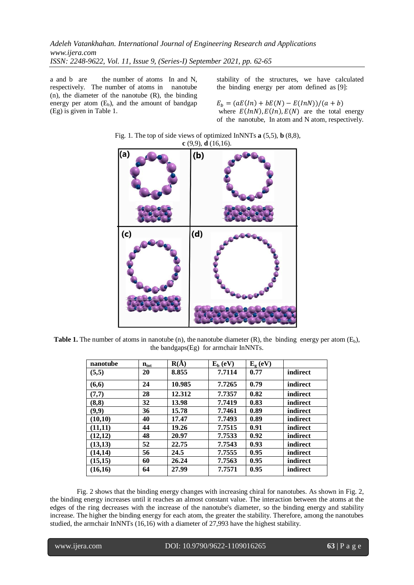a and b are the number of atoms In and N, respectively. The number of atoms in nanotube  $(n)$ , the diameter of the nanotube  $(R)$ , the binding energy per atom  $(E_b)$ , and the amount of bandgap (Eg) is given in Table 1.

stability of the structures, we have calculated the binding energy per atom defined as [9]:

 $E_b = (aE(In) + bE(N) - E(InN))/(a + b)$ where  $E(lnN)$ ,  $E(ln)$ ,  $E(N)$  are the total energy of the nanotube, In atom and N atom, respectively.



Fig. 1. The top of side views of optimized InNNTs **a** (5,5), **b** (8,8),

**Table 1.** The number of atoms in nanotube (n), the nanotube diameter  $(R)$ , the binding energy per atom  $(E<sub>b</sub>)$ , the bandgaps(Eg) for armchair InNNTs.

| nanotube | $n_{\rm tot}$ | $R(\AA)$ | $E_b$ (eV) | $E_{\varrho}$ (eV) |          |
|----------|---------------|----------|------------|--------------------|----------|
| (5,5)    | 20            | 8.855    | 7.7114     | 0.77               | indirect |
| (6, 6)   | 24            | 10.985   | 7.7265     | 0.79               | indirect |
| (7,7)    | 28            | 12.312   | 7.7357     | 0.82               | indirect |
| (8, 8)   | 32            | 13.98    | 7.7419     | 0.83               | indirect |
| (9, 9)   | 36            | 15.78    | 7.7461     | 0.89               | indirect |
| (10,10)  | 40            | 17.47    | 7.7493     | 0.89               | indirect |
| (11, 11) | 44            | 19.26    | 7.7515     | 0.91               | indirect |
| (12,12)  | 48            | 20.97    | 7.7533     | 0.92               | indirect |
| (13,13)  | 52            | 22.75    | 7.7543     | 0.93               | indirect |
| (14, 14) | 56            | 24.5     | 7.7555     | 0.95               | indirect |
| (15,15)  | 60            | 26.24    | 7.7563     | 0.95               | indirect |
| (16,16)  | 64            | 27.99    | 7.7571     | 0.95               | indirect |

Fig. 2 shows that the binding energy changes with increasing chiral for nanotubes. As shown in Fig. 2, the binding energy increases until it reaches an almost constant value. The interaction between the atoms at the edges of the ring decreases with the increase of the nanotube's diameter, so the binding energy and stability increase. The higher the binding energy for each atom, the greater the stability. Therefore, among the nanotubes studied, the armchair InNNTs (16,16) with a diameter of 27,993 have the highest stability.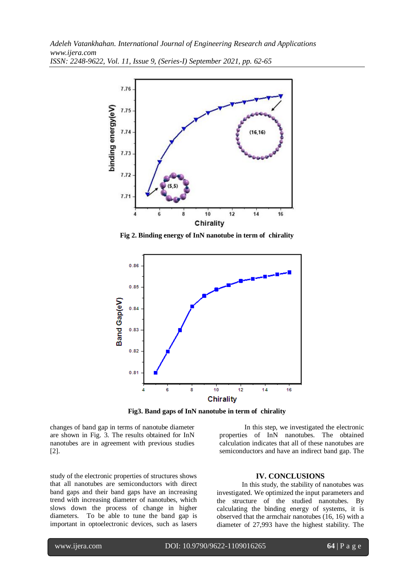*Adeleh Vatankhahan. International Journal of Engineering Research and Applications www.ijera.com ISSN: 2248-9622, Vol. 11, Issue 9, (Series-I) September 2021, pp. 62-65*



**Fig 2. Binding energy of InN nanotube in term of chirality**



**Fig3. Band gaps of InN nanotube in term of chirality**

changes of band gap in terms of nanotube diameter are shown in Fig. 3. The results obtained for InN nanotubes are in agreement with previous studies [2].

study of the electronic properties of structures shows that all nanotubes are semiconductors with direct band gaps and their band gaps have an increasing trend with increasing diameter of nanotubes, which slows down the process of change in higher diameters. To be able to tune the band gap is important in optoelectronic devices, such as lasers

In this step, we investigated the electronic properties of InN nanotubes. The obtained calculation indicates that all of these nanotubes are semiconductors and have an indirect band gap. The

## **IV. CONCLUSIONS**

In this study, the stability of nanotubes was investigated. We optimized the input parameters and the structure of the studied nanotubes. By calculating the binding energy of systems, it is observed that the armchair nanotubes (16, 16) with a diameter of 27,993 have the highest stability. The